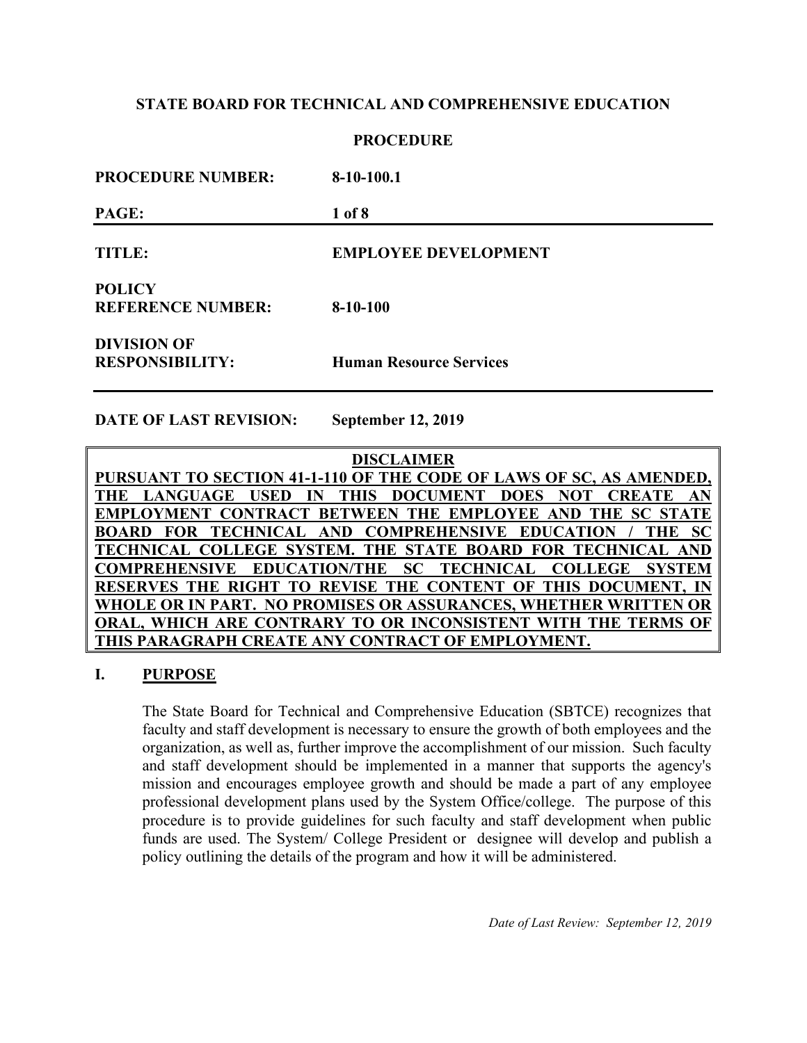### **PROCEDURE**

| <b>PROCEDURE NUMBER:</b>                     | $8-10-100.1$                   |
|----------------------------------------------|--------------------------------|
| PAGE:                                        | 1 of 8                         |
| <b>TITLE:</b>                                | <b>EMPLOYEE DEVELOPMENT</b>    |
| <b>POLICY</b><br><b>REFERENCE NUMBER:</b>    | $8-10-100$                     |
| <b>DIVISION OF</b><br><b>RESPONSIBILITY:</b> | <b>Human Resource Services</b> |

**DATE OF LAST REVISION: September 12, 2019**

**DISCLAIMER PURSUANT TO SECTION 41-1-110 OF THE CODE OF LAWS OF SC, AS AMENDED,**  THE LANGUAGE USED IN THIS DOCUMENT DOES NOT CREATE **EMPLOYMENT CONTRACT BETWEEN THE EMPLOYEE AND THE SC ST. BOARD FOR TECHNICAL AND COMPREHENSIVE EDUCATION / THE SC TECHNICAL COLLEGE SYSTEM. THE STATE BOARD FOR TECHNICAL AND COMPREHENSIVE EDUCATION/THE SC TECHNICAL COLLEGE SYSTEM RESERVES THE RIGHT TO REVISE THE CONTENT OF THIS DOCUMENT. WHOLE OR IN PART. NO PROMISES OR ASSURANCES, WHETHER WRITTEN OR ORAL, WHICH ARE CONTRARY TO OR INCONSISTENT WITH THE TERMS OF THIS PARAGRAPH CREATE ANY CONTRACT OF EMPLOYMENT.**

## **I. PURPOSE**

The State Board for Technical and Comprehensive Education (SBTCE) recognizes that faculty and staff development is necessary to ensure the growth of both employees and the organization, as well as, further improve the accomplishment of our mission. Such faculty and staff development should be implemented in a manner that supports the agency's mission and encourages employee growth and should be made a part of any employee professional development plans used by the System Office/college. The purpose of this procedure is to provide guidelines for such faculty and staff development when public funds are used. The System/ College President or designee will develop and publish a policy outlining the details of the program and how it will be administered.

*Date of Last Review: September 12, 2019*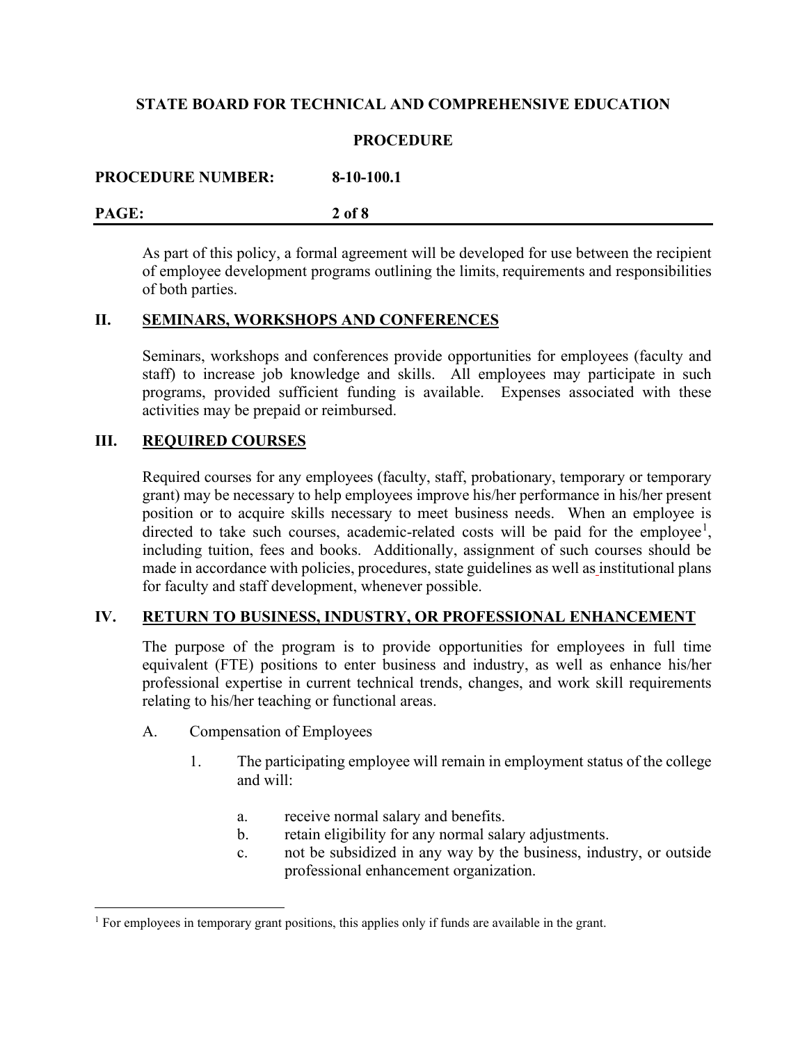### **PROCEDURE**

**PROCEDURE NUMBER: 8-10-100.1**

#### **PAGE: 2 of 8**

As part of this policy, a formal agreement will be developed for use between the recipient of employee development programs outlining the limits, requirements and responsibilities of both parties.

# **II. SEMINARS, WORKSHOPS AND CONFERENCES**

Seminars, workshops and conferences provide opportunities for employees (faculty and staff) to increase job knowledge and skills. All employees may participate in such programs, provided sufficient funding is available. Expenses associated with these activities may be prepaid or reimbursed.

# **III. REQUIRED COURSES**

Required courses for any employees (faculty, staff, probationary, temporary or temporary grant) may be necessary to help employees improve his/her performance in his/her present position or to acquire skills necessary to meet business needs. When an employee is directed to take such courses, academic-related costs will be paid for the employee<sup>[1](#page-1-0)</sup>, including tuition, fees and books. Additionally, assignment of such courses should be made in accordance with policies, procedures, state guidelines as well as institutional plans for faculty and staff development, whenever possible.

## **IV. RETURN TO BUSINESS, INDUSTRY, OR PROFESSIONAL ENHANCEMENT**

The purpose of the program is to provide opportunities for employees in full time equivalent (FTE) positions to enter business and industry, as well as enhance his/her professional expertise in current technical trends, changes, and work skill requirements relating to his/her teaching or functional areas.

- A. Compensation of Employees
	- 1. The participating employee will remain in employment status of the college and will:
		- a. receive normal salary and benefits.
		- b. retain eligibility for any normal salary adjustments.
		- c. not be subsidized in any way by the business, industry, or outside professional enhancement organization.

<span id="page-1-0"></span> $<sup>1</sup>$  For employees in temporary grant positions, this applies only if funds are available in the grant.</sup>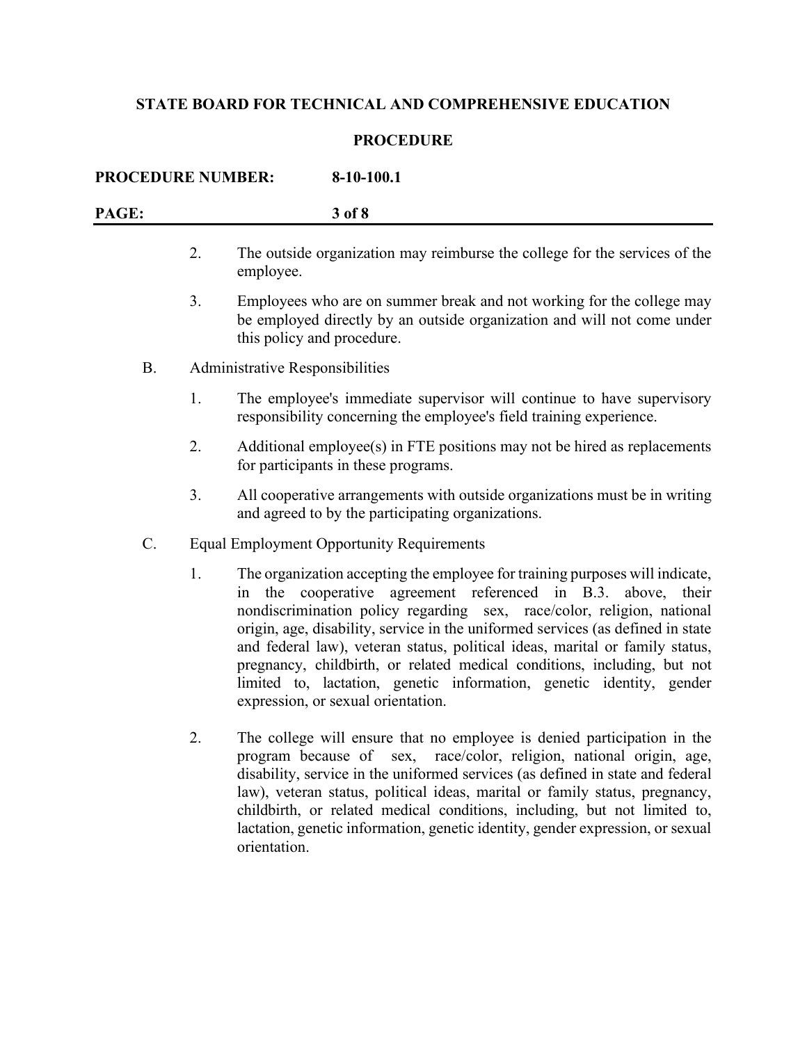# **PROCEDURE**

| <b>PROCEDURE NUMBER:</b><br>8-10-100.1 |    |                                                                                                                                                                                                                                                                                                                                                                                                                                                                                                                                                                                        |  |
|----------------------------------------|----|----------------------------------------------------------------------------------------------------------------------------------------------------------------------------------------------------------------------------------------------------------------------------------------------------------------------------------------------------------------------------------------------------------------------------------------------------------------------------------------------------------------------------------------------------------------------------------------|--|
| PAGE:                                  |    | 3 of 8                                                                                                                                                                                                                                                                                                                                                                                                                                                                                                                                                                                 |  |
|                                        | 2. | The outside organization may reimburse the college for the services of the<br>employee.                                                                                                                                                                                                                                                                                                                                                                                                                                                                                                |  |
|                                        | 3. | Employees who are on summer break and not working for the college may<br>be employed directly by an outside organization and will not come under<br>this policy and procedure.                                                                                                                                                                                                                                                                                                                                                                                                         |  |
| <b>B.</b>                              |    | Administrative Responsibilities                                                                                                                                                                                                                                                                                                                                                                                                                                                                                                                                                        |  |
|                                        | 1. | The employee's immediate supervisor will continue to have supervisory<br>responsibility concerning the employee's field training experience.                                                                                                                                                                                                                                                                                                                                                                                                                                           |  |
|                                        | 2. | Additional employee(s) in FTE positions may not be hired as replacements<br>for participants in these programs.                                                                                                                                                                                                                                                                                                                                                                                                                                                                        |  |
|                                        | 3. | All cooperative arrangements with outside organizations must be in writing<br>and agreed to by the participating organizations.                                                                                                                                                                                                                                                                                                                                                                                                                                                        |  |
| C.                                     |    | <b>Equal Employment Opportunity Requirements</b>                                                                                                                                                                                                                                                                                                                                                                                                                                                                                                                                       |  |
|                                        | 1. | The organization accepting the employee for training purposes will indicate,<br>the cooperative agreement referenced in B.3. above, their<br>in<br>nondiscrimination policy regarding sex, race/color, religion, national<br>origin, age, disability, service in the uniformed services (as defined in state<br>and federal law), veteran status, political ideas, marital or family status,<br>pregnancy, childbirth, or related medical conditions, including, but not<br>limited to, lactation, genetic information, genetic identity, gender<br>expression, or sexual orientation. |  |
|                                        | 2. | The college will ensure that no employee is denied participation in the<br>program because of sex, race/color, religion, national origin, age,<br>disability, service in the uniformed services (as defined in state and federal<br>law), veteran status, political ideas, marital or family status, pregnancy,<br>childbirth, or related medical conditions, including, but not limited to,<br>lactation, genetic information, genetic identity, gender expression, or sexual<br>orientation.                                                                                         |  |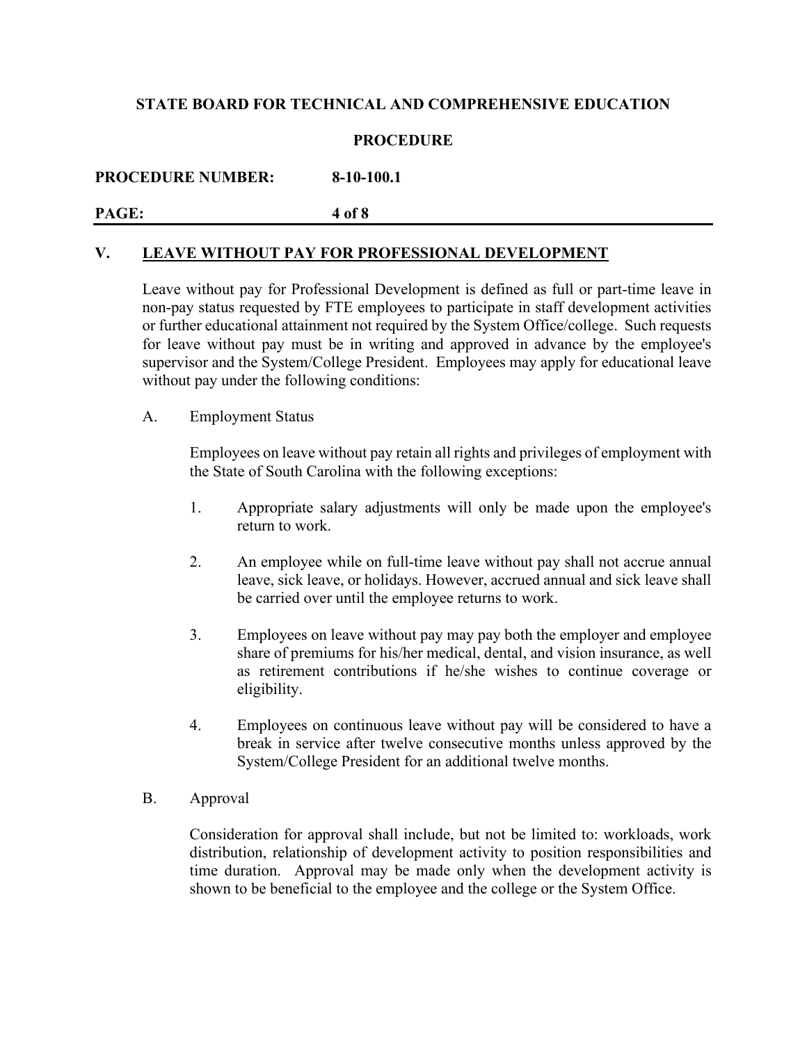# **PROCEDURE**

**PROCEDURE NUMBER: 8-10-100.1**

**PAGE: 4 of 8**

## **V. LEAVE WITHOUT PAY FOR PROFESSIONAL DEVELOPMENT**

Leave without pay for Professional Development is defined as full or part-time leave in non-pay status requested by FTE employees to participate in staff development activities or further educational attainment not required by the System Office/college. Such requests for leave without pay must be in writing and approved in advance by the employee's supervisor and the System/College President. Employees may apply for educational leave without pay under the following conditions:

#### A. Employment Status

Employees on leave without pay retain all rights and privileges of employment with the State of South Carolina with the following exceptions:

- 1. Appropriate salary adjustments will only be made upon the employee's return to work.
- 2. An employee while on full-time leave without pay shall not accrue annual leave, sick leave, or holidays. However, accrued annual and sick leave shall be carried over until the employee returns to work.
- 3. Employees on leave without pay may pay both the employer and employee share of premiums for his/her medical, dental, and vision insurance, as well as retirement contributions if he/she wishes to continue coverage or eligibility.
- 4. Employees on continuous leave without pay will be considered to have a break in service after twelve consecutive months unless approved by the System/College President for an additional twelve months.
- B. Approval

Consideration for approval shall include, but not be limited to: workloads, work distribution, relationship of development activity to position responsibilities and time duration. Approval may be made only when the development activity is shown to be beneficial to the employee and the college or the System Office.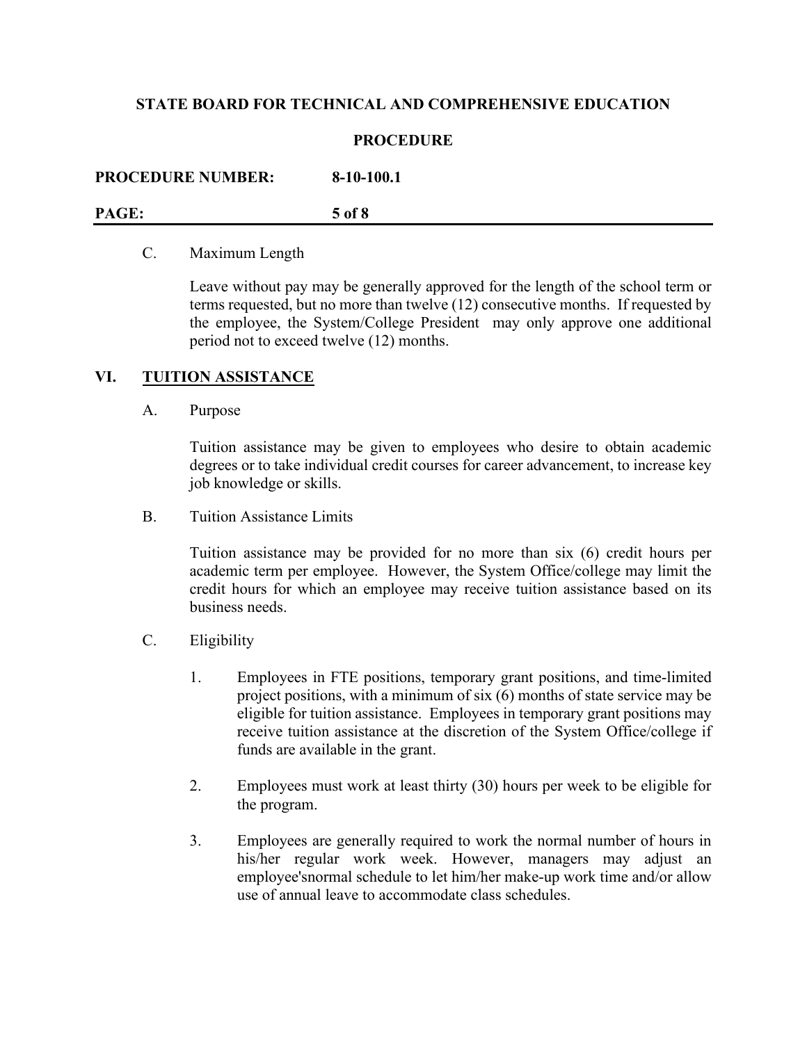### **PROCEDURE**

| <b>PROCEDURE NUMBER:</b> | $8-10-100.1$ |
|--------------------------|--------------|
| PAGE:                    | 5 of 8       |

#### C. Maximum Length

Leave without pay may be generally approved for the length of the school term or terms requested, but no more than twelve (12) consecutive months. If requested by the employee, the System/College President may only approve one additional period not to exceed twelve (12) months.

## **VI. TUITION ASSISTANCE**

#### A. Purpose

Tuition assistance may be given to employees who desire to obtain academic degrees or to take individual credit courses for career advancement, to increase key job knowledge or skills.

B. Tuition Assistance Limits

Tuition assistance may be provided for no more than six (6) credit hours per academic term per employee. However, the System Office/college may limit the credit hours for which an employee may receive tuition assistance based on its business needs.

- C. Eligibility
	- 1. Employees in FTE positions, temporary grant positions, and time-limited project positions, with a minimum of six (6) months of state service may be eligible for tuition assistance. Employees in temporary grant positions may receive tuition assistance at the discretion of the System Office/college if funds are available in the grant.
	- 2. Employees must work at least thirty (30) hours per week to be eligible for the program.
	- 3. Employees are generally required to work the normal number of hours in his/her regular work week. However, managers may adjust an employee'snormal schedule to let him/her make-up work time and/or allow use of annual leave to accommodate class schedules.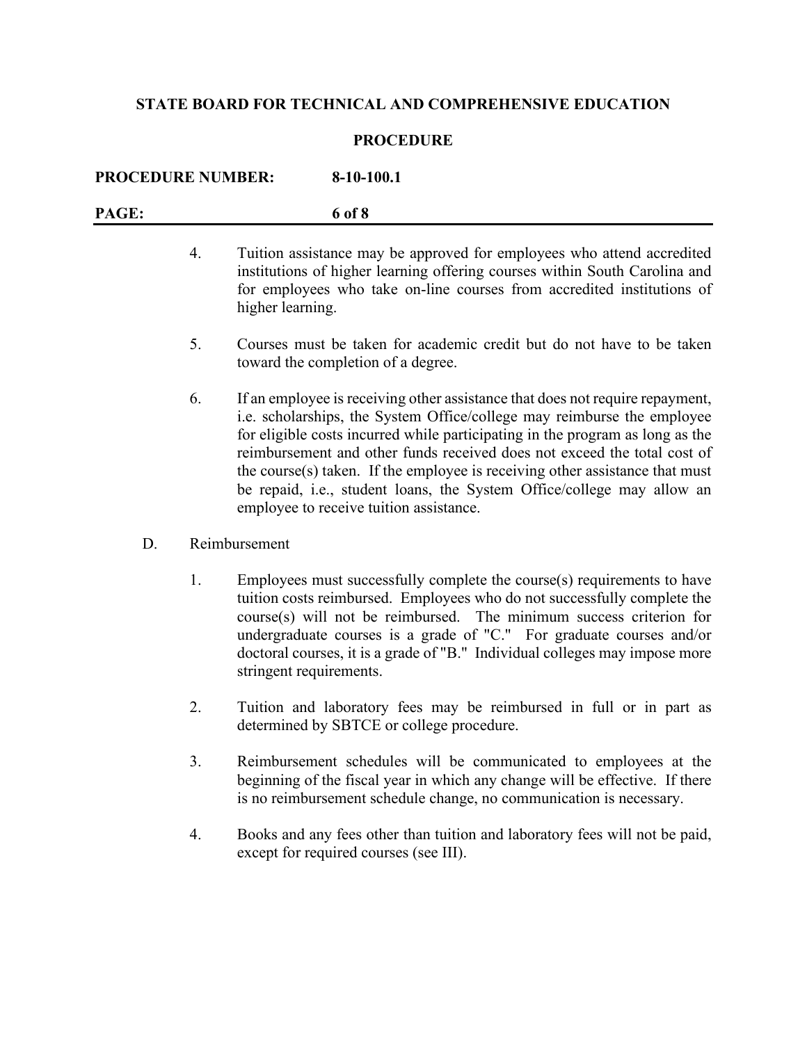### **PROCEDURE**

| <b>PROCEDURE NUMBER:</b> | $8-10-100.1$ |
|--------------------------|--------------|
| PAGE:                    | 6 of 8       |

- 4. Tuition assistance may be approved for employees who attend accredited institutions of higher learning offering courses within South Carolina and for employees who take on-line courses from accredited institutions of higher learning.
- 5. Courses must be taken for academic credit but do not have to be taken toward the completion of a degree.
- 6. If an employee is receiving other assistance that does not require repayment, i.e. scholarships, the System Office/college may reimburse the employee for eligible costs incurred while participating in the program as long as the reimbursement and other funds received does not exceed the total cost of the course $(s)$  taken. If the employee is receiving other assistance that must be repaid, i.e., student loans, the System Office/college may allow an employee to receive tuition assistance.
- D. Reimbursement
	- 1. Employees must successfully complete the course(s) requirements to have tuition costs reimbursed. Employees who do not successfully complete the course(s) will not be reimbursed. The minimum success criterion for undergraduate courses is a grade of "C." For graduate courses and/or doctoral courses, it is a grade of "B." Individual colleges may impose more stringent requirements.
	- 2. Tuition and laboratory fees may be reimbursed in full or in part as determined by SBTCE or college procedure.
	- 3. Reimbursement schedules will be communicated to employees at the beginning of the fiscal year in which any change will be effective. If there is no reimbursement schedule change, no communication is necessary.
	- 4. Books and any fees other than tuition and laboratory fees will not be paid, except for required courses (see III).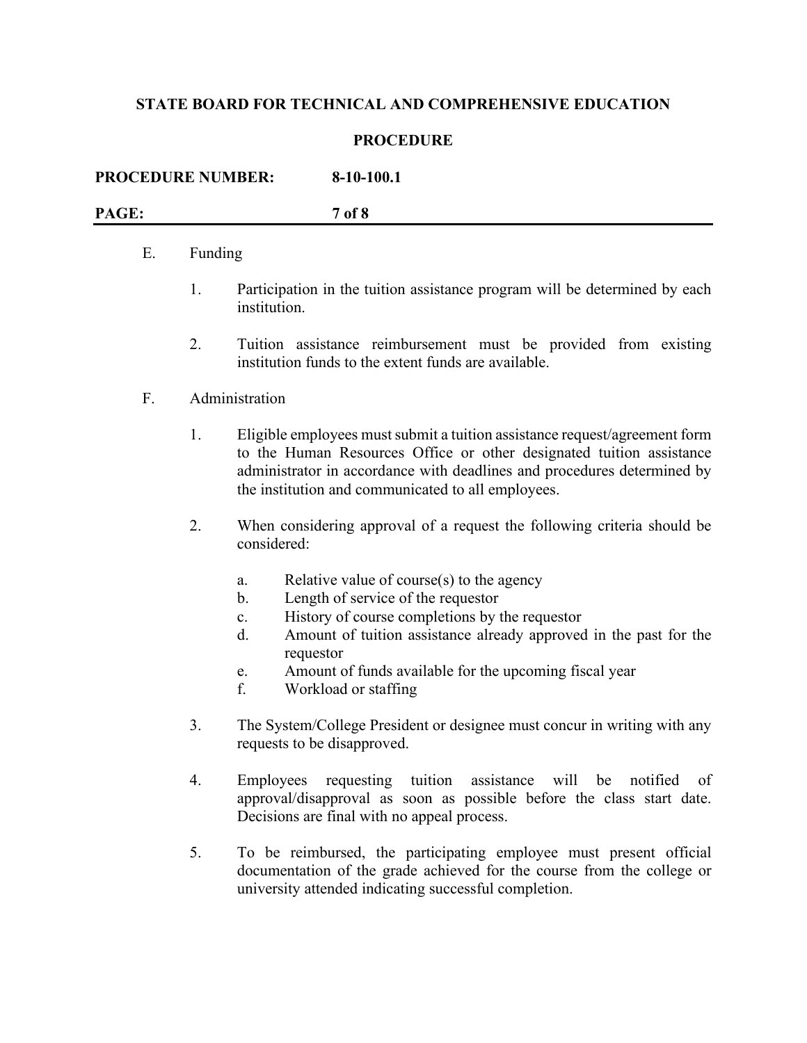#### **PROCEDURE**

| <b>PROCEDURE NUMBER:</b> | $8-10-100.1$ |
|--------------------------|--------------|
| PAGE:                    | 7 of 8       |

### E. Funding

- 1. Participation in the tuition assistance program will be determined by each institution.
- 2. Tuition assistance reimbursement must be provided from existing institution funds to the extent funds are available.

#### F. Administration

- 1. Eligible employees must submit a tuition assistance request/agreement form to the Human Resources Office or other designated tuition assistance administrator in accordance with deadlines and procedures determined by the institution and communicated to all employees.
- 2. When considering approval of a request the following criteria should be considered:
	- a. Relative value of course(s) to the agency
	- b. Length of service of the requestor
	- c. History of course completions by the requestor
	- d. Amount of tuition assistance already approved in the past for the requestor
	- e. Amount of funds available for the upcoming fiscal year
	- f. Workload or staffing
- 3. The System/College President or designee must concur in writing with any requests to be disapproved.
- 4. Employees requesting tuition assistance will be notified of approval/disapproval as soon as possible before the class start date. Decisions are final with no appeal process.
- 5. To be reimbursed, the participating employee must present official documentation of the grade achieved for the course from the college or university attended indicating successful completion.